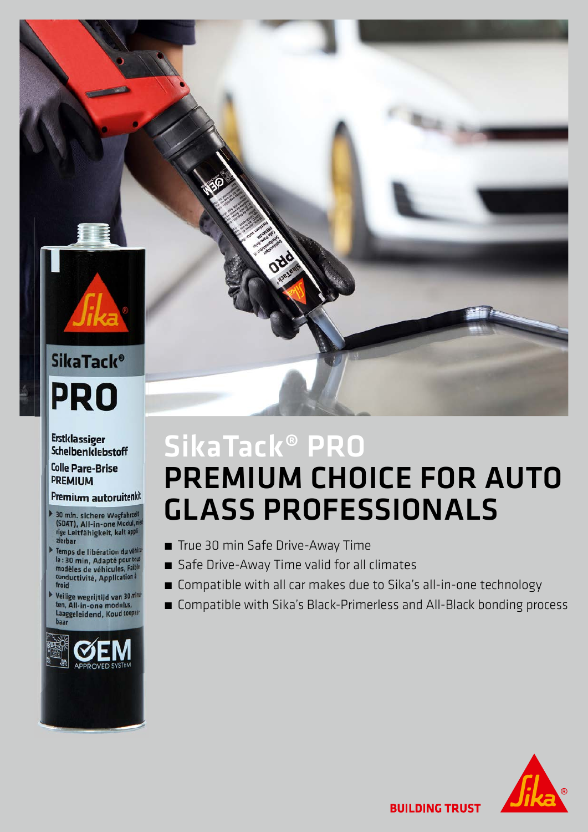# **SikaTack® PRO**

**Erstklassiger Scheibenklebstoff** 

**Colle Pare-Brise PREMIUM** 

#### Premium autoruitenkit

- 30 min. sichere Wegfahrzelt<br>(SDAT), All-in-one Modul, <sup>nit</sup><br>rige Leitfähigkeit, kalt appl<sup>i.</sup><br>zierbar
- Temps de libération du vé le : 30 min, Adapté pour te modèles de véhicules, Fai conductivité, Application à froid
- Veilige wegrijtijd van 30 m<br>ten, All-in-one modulus, Laaggeleidend, Koud toe



# SikaTack® PRO PREMIUM CHOICE FOR AUTO GLASS PROFESSIONALS

- True 30 min Safe Drive-Away Time
- Safe Drive-Away Time valid for all climates
- Compatible with all car makes due to Sika's all-in-one technology
- Compatible with Sika's Black-Primerless and All-Black bonding process



**BUILDING TRUST**